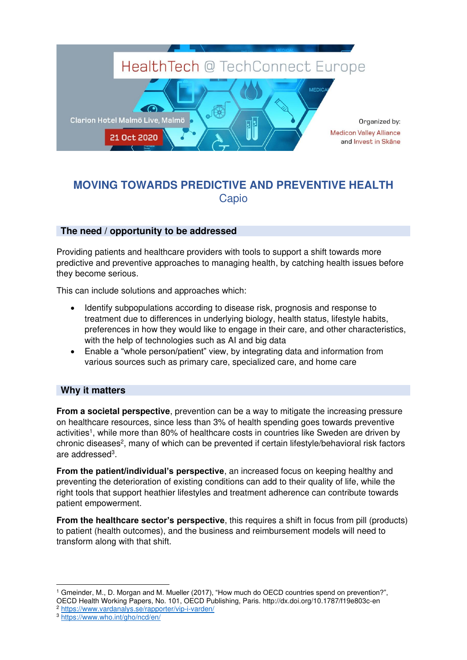

## **MOVING TOWARDS PREDICTIVE AND PREVENTIVE HEALTH Capio**

## **The need / opportunity to be addressed**

Providing patients and healthcare providers with tools to support a shift towards more predictive and preventive approaches to managing health, by catching health issues before they become serious.

This can include solutions and approaches which:

- Identify subpopulations according to disease risk, prognosis and response to treatment due to differences in underlying biology, health status, lifestyle habits, preferences in how they would like to engage in their care, and other characteristics, with the help of technologies such as AI and big data
- Enable a "whole person/patient" view, by integrating data and information from various sources such as primary care, specialized care, and home care

## **Why it matters**

**From a societal perspective**, prevention can be a way to mitigate the increasing pressure on healthcare resources, since less than 3% of health spending goes towards preventive activities<sup>1</sup>, while more than 80% of healthcare costs in countries like Sweden are driven by chronic diseases<sup>2</sup>, many of which can be prevented if certain lifestyle/behavioral risk factors are addressed<sup>3</sup>.

**From the patient/individual's perspective**, an increased focus on keeping healthy and preventing the deterioration of existing conditions can add to their quality of life, while the right tools that support heathier lifestyles and treatment adherence can contribute towards patient empowerment.

**From the healthcare sector's perspective**, this requires a shift in focus from pill (products) to patient (health outcomes), and the business and reimbursement models will need to transform along with that shift.

<sup>2</sup> <https://www.vardanalys.se/rapporter/vip-i-varden/>

<sup>1</sup> Gmeinder, M., D. Morgan and M. Mueller (2017), "How much do OECD countries spend on prevention?", OECD Health Working Papers, No. 101, OECD Publishing, Paris. http://dx.doi.org/10.1787/f19e803c-en

<sup>3</sup> <https://www.who.int/gho/ncd/en/>